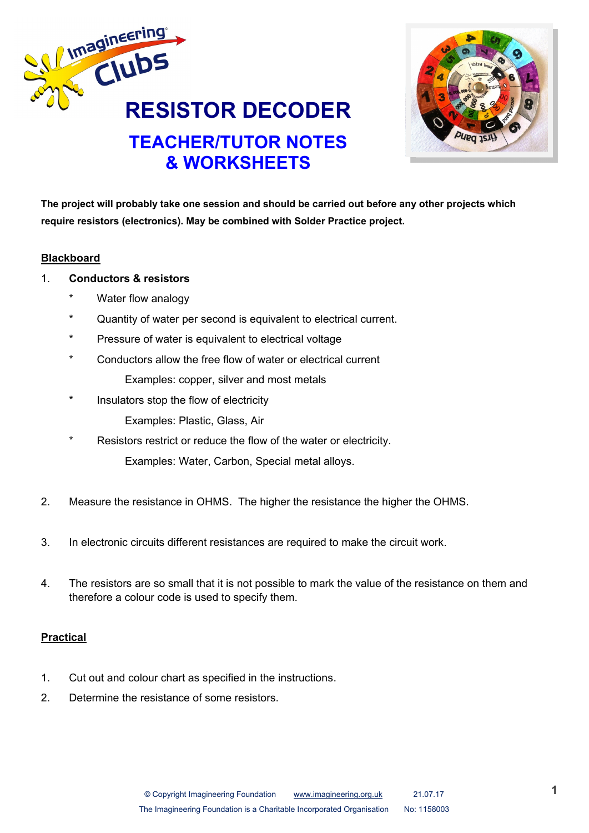



**The project will probably take one session and should be carried out before any other projects which require resistors (electronics). May be combined with Solder Practice project.**

## **Blackboard**

- 1. **Conductors & resistors**
	- \* Water flow analogy
	- Quantity of water per second is equivalent to electrical current.
	- Pressure of water is equivalent to electrical voltage
	- \* Conductors allow the free flow of water or electrical current Examples: copper, silver and most metals
	- \* Insulators stop the flow of electricity Examples: Plastic, Glass, Air
	- Resistors restrict or reduce the flow of the water or electricity. Examples: Water, Carbon, Special metal alloys.
- 2. Measure the resistance in OHMS. The higher the resistance the higher the OHMS.
- 3. In electronic circuits different resistances are required to make the circuit work.
- 4. The resistors are so small that it is not possible to mark the value of the resistance on them and therefore a colour code is used to specify them.

## **Practical**

- 1. Cut out and colour chart as specified in the instructions.
- 2. Determine the resistance of some resistors.